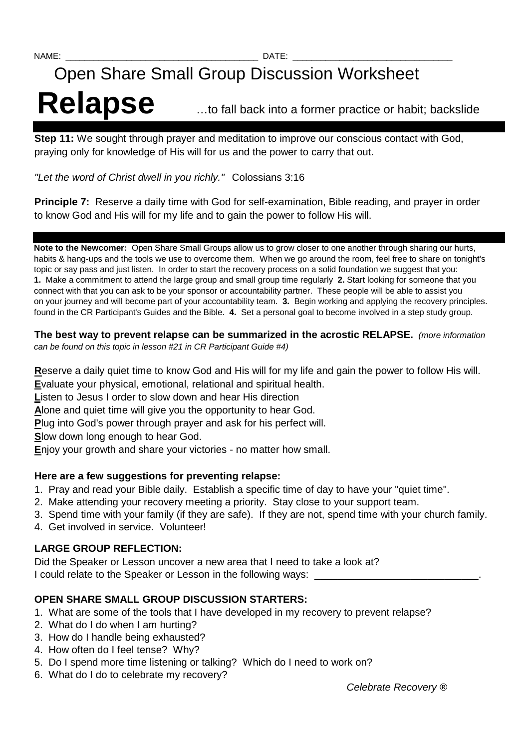# Open Share Small Group Discussion Worksheet

# Relapse **Inter-** with fall back into a former practice or habit; backslide

**Step 11:** We sought through prayer and meditation to improve our conscious contact with God, praying only for knowledge of His will for us and the power to carry that out.

"Let the word of Christ dwell in you richly." Colossians 3:16

**Principle 7:** Reserve a daily time with God for self-examination, Bible reading, and prayer in order to know God and His will for my life and to gain the power to follow His will.

**Note to the Newcomer:** Open Share Small Groups allow us to grow closer to one another through sharing our hurts, habits & hang-ups and the tools we use to overcome them. When we go around the room, feel free to share on tonight's topic or say pass and just listen. In order to start the recovery process on a solid foundation we suggest that you: **1.** Make a commitment to attend the large group and small group time regularly **2.** Start looking for someone that you connect with that you can ask to be your sponsor or accountability partner. These people will be able to assist you on your journey and will become part of your accountability team. **3.** Begin working and applying the recovery principles. found in the CR Participant's Guides and the Bible. **4.** Set a personal goal to become involved in a step study group.

#### **The best way to prevent relapse can be summarized in the acrostic RELAPSE.** (more information can be found on this topic in lesson #21 in CR Participant Guide #4)

**R**eserve a daily quiet time to know God and His will for my life and gain the power to follow His will.

**E**valuate your physical, emotional, relational and spiritual health.

**L**isten to Jesus I order to slow down and hear His direction

**A**lone and quiet time will give you the opportunity to hear God.

**P**lug into God's power through prayer and ask for his perfect will.

**S**low down long enough to hear God.

**E**njoy your growth and share your victories - no matter how small.

# **Here are a few suggestions for preventing relapse:**

- 1. Pray and read your Bible daily. Establish a specific time of day to have your "quiet time".
- 2. Make attending your recovery meeting a priority. Stay close to your support team.
- 3. Spend time with your family (if they are safe). If they are not, spend time with your church family.
- 4. Get involved in service. Volunteer!

# **LARGE GROUP REFLECTION:**

Did the Speaker or Lesson uncover a new area that I need to take a look at? I could relate to the Speaker or Lesson in the following ways:

# **OPEN SHARE SMALL GROUP DISCUSSION STARTERS:**

- 1. What are some of the tools that I have developed in my recovery to prevent relapse?
- 2. What do I do when I am hurting?
- 3. How do I handle being exhausted?
- 4. How often do I feel tense? Why?
- 5. Do I spend more time listening or talking? Which do I need to work on?
- 6. What do I do to celebrate my recovery?